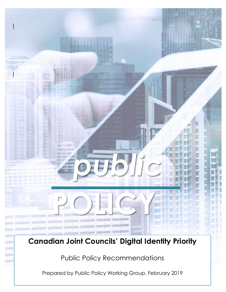# **Canadian Joint Councils' Digital Identity Priority**

**POLICY**

**BILITALIA** 

*public* 

an an an an an an an

U

U

ç g g ¢ g E Ţ

Public Policy Recommendations

Prepared by Public Policy Working Group, February 2019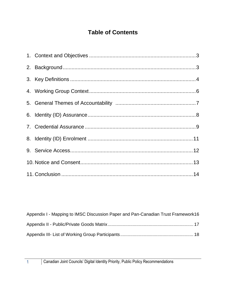# **Table of Contents**

| Appendix I - Mapping to IMSC Discussion Paper and Pan-Canadian Trust Framework16 |  |
|----------------------------------------------------------------------------------|--|
|                                                                                  |  |
|                                                                                  |  |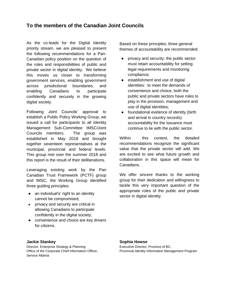### **To the members of the Canadian Joint Councils**

As the co-leads for the Digital Identity priority stream, we are pleased to present the following recommendations for a Pan-Canadian policy position on the question of the roles and responsibilities of public and private sector in digital identity. We believe this moves us closer to transforming government services, enabling government across jurisdictional boundaries, and enabling Canadians to participate confidently and securely in the growing digital society.

Following Joint Councils' approval to establish a Public Policy Working Group, we issued a call for participants to all Identity Management Sub-Committee IMSC/Joint Councils members. The group was established in May 2018 and brought together seventeen representatives at the municipal, provincial and federal levels. This group met over the summer 2018 and this report is the result of their deliberations.

Leveraging existing work by the Pan Canadian Trust Framework (PCTF) group and IMSC, the Working Group identified three guiding principles:

- an individual's' right to an identity cannot be compromised;
- privacy and security are critical in allowing Canadians to participate confidently in the digital society;
- convenience and choice are key drivers for citizens.

#### **Jackie Stankey**

Director, Enterprise Strategy & Planning Office of the Corporate Chief Information Officer, Service Alberta

Based on these principles, three general themes of accountability are recommended:

- privacy and security: the public sector must retain accountability for setting legal requirements and monitoring compliance;
- establishment and use of digital identities: to meet the demands of convenience and choice, both the public and private sectors have roles to play in the provision, management and use of digital identities;
- foundational evidence of identity (birth and arrival in country records): accountability for the issuance must continue to lie with the public sector.

Within this context, the detailed recommendations recognize the significant value that the private sector will add. We are excited to see what future growth and collaboration in this space will mean for Canadians.

We offer sincere thanks to the working group for their dedication and willingness to tackle this very important question of the appropriate roles of the public and private sector in digital identity.

#### **Sophia Howse**

Executive Director, Province of BC, Provincial Identity Information Management Program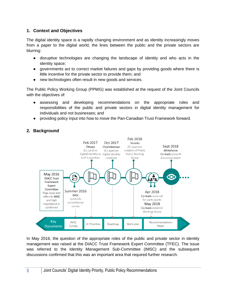### <span id="page-3-0"></span>**1. Context and Objectives**

The digital identity space is a rapidly changing environment and as identity increasingly moves from a paper to the digital world, the lines between the public and the private sectors are blurring:

- disruptive technologies are changing the landscape of identity and who acts in the identity space;
- governments act to correct market failures and gaps by providing goods where there is little incentive for the private sector to provide them; and
- new technologies often result in new goods and services.

The Public Policy Working Group (PPWG) was established at the request of the Joint Councils with the objectives of:

- assessing and developing recommendations on the appropriate roles and responsibilities of the public and private sectors in digital identity management for individuals and not businesses; and
- providing policy input into how to move the Pan-Canadian Trust Framework forward.



## <span id="page-3-1"></span>**2. Background**

In May 2016, the question of the appropriate roles of the public and private sector in identity management was raised at the DIACC Trust Framework Expert Committee (TFEC). The issue was referred to the Identity Management Sub-Committee (IMSC) and the subsequent discussions confirmed that this was an important area that required further research.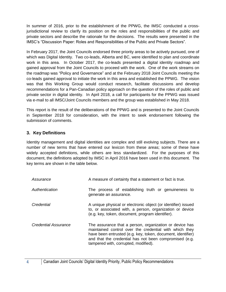In summer of 2016, prior to the establishment of the PPWG, the IMSC conducted a crossjurisdictional review to clarify its position on the roles and responsibilities of the public and private sectors and describe the rationale for the decisions. The results were presented in the IMSC's "Discussion Paper: Roles and Responsibilities of the Public and Private Sectors".

In February 2017, the Joint Councils endorsed three priority areas to be actively pursued, one of which was Digital Identity. Two co-leads, Alberta and BC, were identified to plan and coordinate work in this area. In October 2017, the co-leads presented a digital identity roadmap and gained approval from the Joint Councils to proceed with the work. One of the work streams on the roadmap was "Policy and Governance" and at the February 2018 Joint Councils meeting the co-leads gained approval to initiate the work in this area and established the PPWG. The vision was that this Working Group would conduct research, facilitate discussions and develop recommendations for a Pan-Canadian policy approach on the question of the roles of public and private sector in digital identity. In April 2018, a call for participants for the PPWG was issued via e-mail to all IMSC/Joint Councils members and the group was established in May 2018.

This report is the result of the deliberations of the PPWG and is presented to the Joint Councils in September 2018 for consideration, with the intent to seek endorsement following the submission of comments.

### <span id="page-4-0"></span>**3. Key Definitions**

Identity management and digital identities are complex and still evolving subjects. There are a number of new terms that have entered our lexicon from these areas; some of these have widely accepted definitions, while others are less standardized. For the purposes of this document, the definitions adopted by IMSC in April 2016 have been used in this document. The key terms are shown in the table below.

| Assurance            | A measure of certainty that a statement or fact is true.                                                                                                                                                                                                                           |
|----------------------|------------------------------------------------------------------------------------------------------------------------------------------------------------------------------------------------------------------------------------------------------------------------------------|
| Authentication       | The process of establishing truth or genuineness to<br>generate an assurance.                                                                                                                                                                                                      |
| Credential           | A unique physical or electronic object (or identifier) issued<br>to, or associated with, a person, organization or device<br>(e.g. key, token, document, program identifier).                                                                                                      |
| Credential Assurance | The assurance that a person, organization or device has<br>maintained control over the credential with which they<br>have been entrusted (e.g. key, token, document, identifier)<br>and that the credential has not been compromised (e.g.<br>tampered with, corrupted, modified). |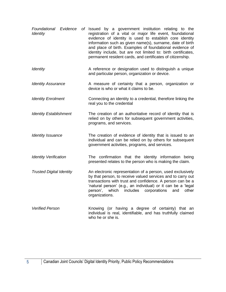<span id="page-5-0"></span>

| Foundational Evidence<br><b>Identity</b> | of Issued by a government institution relating to the<br>registration of a vital or major life event, foundational<br>evidence of identity is used to establish core identity<br>information such as given name(s), surname, date of birth<br>and place of birth. Examples of foundational evidence of<br>identity include, but are not limited to: birth certificates,<br>permanent resident cards, and certificates of citizenship. |
|------------------------------------------|---------------------------------------------------------------------------------------------------------------------------------------------------------------------------------------------------------------------------------------------------------------------------------------------------------------------------------------------------------------------------------------------------------------------------------------|
| <b>Identity</b>                          | A reference or designation used to distinguish a unique<br>and particular person, organization or device.                                                                                                                                                                                                                                                                                                                             |
| <b>Identity Assurance</b>                | A measure of certainty that a person, organization or<br>device is who or what it claims to be.                                                                                                                                                                                                                                                                                                                                       |
| <b>Identity Enrolment</b>                | Connecting an identity to a credential, therefore linking the<br>real you to the credential                                                                                                                                                                                                                                                                                                                                           |
| <b>Identity Establishment</b>            | The creation of an authoritative record of identity that is<br>relied on by others for subsequent government activities,<br>programs, and services.                                                                                                                                                                                                                                                                                   |
| <b>Identity Issuance</b>                 | The creation of evidence of identity that is issued to an<br>individual and can be relied on by others for subsequent<br>government activities, programs, and services.                                                                                                                                                                                                                                                               |
| <b>Identity Verification</b>             | The confirmation that the identity information being<br>presented relates to the person who is making the claim.                                                                                                                                                                                                                                                                                                                      |
| <b>Trusted Digital Identity</b>          | An electronic representation of a person, used exclusively<br>by that person, to receive valued services and to carry out<br>transactions with trust and confidence. A person can be a<br>'natural person' (e.g., an individual) or it can be a 'legal<br>person', which includes corporations and other<br>organizations.                                                                                                            |
| <b>Verified Person</b>                   | Knowing (or having a degree of certainty) that an<br>individual is real, identifiable, and has truthfully claimed<br>who he or she is.                                                                                                                                                                                                                                                                                                |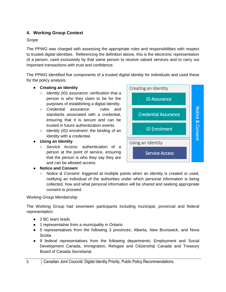### **4. Working Group Context**

### *Scope*

The PPWG was charged with assessing the appropriate roles and responsibilities with respect to trusted digital identities. Referencing the definition above, this is the electronic representation of a person, used exclusively by that same person to receive valued services and to carry out important transactions with trust and confidence.

The PPWG identified five components of a trusted digital identity for individuals and used these for the policy analysis:

### ● **Creating an Identity**

- *Identity (ID) assurance*: verification that a person is who they claim to be for the purposes of establishing a digital identity.
- *Credential assurance*: rules and standards associated with a credential, ensuring that it is secure and can be trusted in future authentication events.
- *Identity (ID) enrolment*: the binding of an identity with a credential.
- **Using an Identity**
	- *Service Access*: authentication of a person at the point of service, ensuring that the person is who they say they are and can be allowed access.



### ● **Notice and Consen**t

○ *Notice & Consent*: triggered at multiple points when an identity is created or used, notifying an individual of the authorities under which personal information is being collected, how and what personal information will be shared and seeking appropriate consent to proceed.

#### *Working Group Membership*

The Working Group had seventeen participants including municipal, provincial and federal representation:

- 2 BC team leads
- 1 representative from a municipality in Ontario
- 5 representatives from the following 3 provinces; Alberta, New Brunswick, and Nova **Scotia**
- 9 federal representatives from the following departments; Employment and Social Development Canada, Immigration, Refugee and Citizenship Canada and Treasury Board of Canada Secretariat.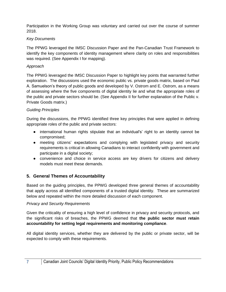Participation in the Working Group was voluntary and carried out over the course of summer 2018.

### *Key Documents*

The PPWG leveraged the IMSC Discussion Paper and the Pan-Canadian Trust Framework to identify the key components of identity management where clarity on roles and responsibilities was required. (See Appendix I for mapping).

### *Approach*

The PPWG leveraged the IMSC Discussion Paper to highlight key points that warranted further exploration. The discussions used the economic public vs. private goods matrix, based on Paul A. Samuelson's theory of public goods and developed by V. Ostrom and E. Ostrom, as a means of assessing where the five components of digital identity lie and what the appropriate roles of the public and private sectors should be. (See Appendix II for further explanation of the Public v. Private Goods matrix.)

### *Guiding Principles*

During the discussions, the PPWG identified three key principles that were applied in defining appropriate roles of the public and private sectors:

- international human rights stipulate that an individual's' right to an identity cannot be compromised;
- meeting citizens' expectations and complying with legislated privacy and security requirements is critical in allowing Canadians to interact confidently with government and participate in a digital society;
- convenience and choice in service access are key drivers for citizens and delivery models must meet these demands.

### <span id="page-7-0"></span>**5. General Themes of Accountability**

Based on the guiding principles, the PPWG developed three general themes of accountability that apply across all identified components of a trusted digital identity. These are summarized below and repeated within the more detailed discussion of each component.

### *Privacy and Security Requirements*

Given the criticality of ensuring a high level of confidence in privacy and security protocols, and the significant risks of breaches, the PPWG deemed that **the public sector must retain accountability for setting legal requirements and monitoring compliance**.

All digital identity services, whether they are delivered by the public or private sector, will be expected to comply with these requirements.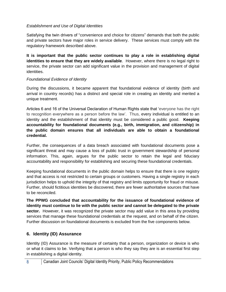### *Establishment and Use of Digital Identities*

Satisfying the twin drivers of "convenience and choice for citizens" demands that both the public and private sectors have major roles in service delivery. These services must comply with the regulatory framework described above.

**It is important that the public sector continues to play a role in establishing digital identities to ensure that they are widely available**. However, where there is no legal right to service, the private sector can add significant value in the provision and management of digital identities.

### *Foundational Evidence of Identity*

During the discussions, it became apparent that foundational evidence of identity (birth and arrival in country records) has a distinct and special role in creating an identity and merited a unique treatment.

Articles 6 and 16 of the Universal Declaration of Human Rights state that 'everyone has the right to recognition everywhere as a person before the law'. Thus, every individual is entitled to an identity and the establishment of that identity must be considered a public good. **Keeping accountability for foundational documents (e.g., birth, immigration, and citizenship) in the public domain ensures that all individuals are able to obtain a foundational credential.** 

Further, the consequences of a data breach associated with foundational documents pose a significant threat and may cause a loss of public trust in government stewardship of personal information. This, again, argues for the public sector to retain the legal and fiduciary accountability and responsibility for establishing and securing these foundational credentials.

Keeping foundational documents in the public domain helps to ensure that there is one registry and that access is not restricted to certain groups or customers. Having a single registry in each jurisdiction helps to uphold the integrity of that registry and limits opportunity for fraud or misuse. Further, should fictitious identities be discovered, there are fewer authoritative sources that have to be reconciled.

**The PPWG concluded that accountability for the issuance of foundational evidence of identity must continue to lie with the public sector and cannot be delegated to the private** sector. However, it was recognized the private sector may add value in this area by providing services that manage these foundational credentials at the request, and on behalf of the citizen. Further discussion on foundational documents is excluded from the five components below.

### <span id="page-8-0"></span>**6. Identity (ID) Assurance**

Identity (ID) Assurance is the measure of certainty that a person, organization or device is who or what it claims to be. Verifying that a person is who they say they are is an essential first step in establishing a digital identity.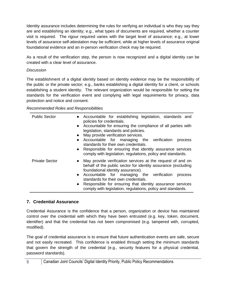Identity assurance includes determining the rules for verifying an individual is who they say they are and establishing an identity; e.g., what types of documents are required, whether a counter visit is required. The rigour required varies with the target level of assurance; e.g., at lower levels of assurance self-attestation may be sufficient, while at higher levels of assurance original foundational evidence and an in-person verification check may be required.

As a result of the verification step, the person is now recognized and a digital identity can be created with a clear level of assurance.

### *Discussion*

The establishment of a digital identity based on identity evidence may be the responsibility of the public or the private sector; e.g., banks establishing a digital identity for a client, or schools establishing a student identity. The relevant organization would be responsible for setting the standards for the verification event and complying with legal requirements for privacy, data protection and notice and consent.

*Recommended Roles and Responsibilities*

| <b>Public Sector</b>  | Accountable for establishing legislation, standards and<br>policies for credentials.<br>Accountable for ensuring the compliance of all parties with<br>$\bullet$<br>legislation, standards and policies.<br>May provide verification services.<br>$\bullet$<br>Accountable for managing the verification<br>process<br>$\bullet$<br>standards for their own credentials.<br>Responsible for ensuring that identity assurance services<br>$\bullet$<br>comply with legislation, regulations, policy and standards. |
|-----------------------|-------------------------------------------------------------------------------------------------------------------------------------------------------------------------------------------------------------------------------------------------------------------------------------------------------------------------------------------------------------------------------------------------------------------------------------------------------------------------------------------------------------------|
| <b>Private Sector</b> | May provide verification services at the request of and on<br>$\bullet$<br>behalf of the public sector for identity assurance (excluding<br>foundational identity assurance).<br>Accountable for managing the verification<br>process<br>$\bullet$<br>standards for their own credentials.<br>Responsible for ensuring that identity assurance services<br>$\bullet$<br>comply with legislation, regulations, policy and standards.                                                                               |

### <span id="page-9-0"></span>**7. Credential Assurance**

Credential Assurance is the confidence that a person, organization or device has maintained control over the credential with which they have been entrusted (e.g. key, token, document, identifier) and that the credential has not been compromised (e.g. tampered with, corrupted, modified).

The goal of credential assurance is to ensure that future authentication events are safe, secure and not easily recreated. This confidence is enabled through setting the minimum standards that govern the strength of the credential (e.g., security features for a physical credential, password standards).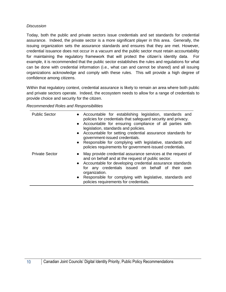### *Discussion*

Today, both the public and private sectors issue credentials and set standards for credential assurance. Indeed, the private sector is a more significant player in this area. Generally, the issuing organization sets the assurance standards and ensures that they are met. However, credential issuance does not occur in a vacuum and the public sector must retain accountability for maintaining the regulatory framework that will protect the citizen's identity data. For example, it is recommended that the public sector establishes the rules and regulations for what can be done with credential information (i.e., what can and cannot be shared) and all issuing organizations acknowledge and comply with these rules. This will provide a high degree of confidence among citizens.

Within that regulatory context, credential assurance is likely to remain an area where both public and private sectors operate. Indeed, the ecosystem needs to allow for a range of credentials to provide choice and security for the citizen.

*Recommended Roles and Responsibilities*

| <b>Public Sector</b>  | • Accountable for establishing legislation, standards and<br>policies for credentials that safeguard security and privacy.<br>• Accountable for ensuring compliance of all parties with<br>legislation, standards and policies.<br>Accountable for setting credential assurance standards for<br>$\bullet$<br>government-issued credentials.<br>Responsible for complying with legislative, standards and<br>$\bullet$<br>policies requirements for government-issued credentials. |
|-----------------------|------------------------------------------------------------------------------------------------------------------------------------------------------------------------------------------------------------------------------------------------------------------------------------------------------------------------------------------------------------------------------------------------------------------------------------------------------------------------------------|
| <b>Private Sector</b> | May provide credential assurance services at the request of<br>$\bullet$<br>and on behalf and at the request of public sector.<br>• Accountable for developing credential assurance standards<br>for any credentials issued on behalf of their own<br>organization.<br>Responsible for complying with legislative, standards and<br>policies requirements for credentials.                                                                                                         |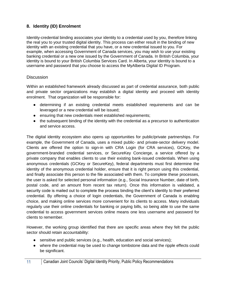### <span id="page-11-0"></span>**8. Identity (ID) Enrolment**

Identity-credential binding associates your identity to a credential used by you, therefore linking the real you to your trusted digital identity. This process can either result in the binding of new identity with an existing credential that you have, or a new credential issued to you. For example, when accessing Government of Canada services, you may wish to use your existing banking credential or a new one issued by the Government of Canada. In British Columbia, your identity is bound to your British Columbia Services Card. In Alberta, your identity is bound to a username and password that you choose to access the MyAlberta Digital ID Program.

### **Discussion**

Within an established framework already discussed as part of credential assurance, both public and private sector organizations may establish a digital identity and proceed with identity enrolment. That organization will be responsible for:

- determining if an existing credential meets established requirements and can be leveraged or a new credential will be issued;
- ensuring that new credentials meet established requirements;
- the subsequent binding of the identity with the credential as a precursor to authentication and service access.

The digital identity ecosystem also opens up opportunities for public/private partnerships. For example, the Government of Canada, uses a mixed public- and private-sector delivery model. Clients are offered the option to sign-in with CRA Login (for CRA services), GCKey, the government-branded credential services, or SecureKey Concierge, a service offered by a private company that enables clients to use their existing bank-issued credentials. When using anonymous credentials (GCKey or SecureKey), federal departments must first determine the identity of the anonymous credential holder, ensure that it is right person using this credential, and finally associate this person to the file associated with them. To complete these processes, the user is asked for selected personal information (e.g., Social Insurance Number, date of birth, postal code, and an amount from recent tax return). Once this information is validated, a security code is mailed out to complete the process binding the client's identity to their preferred credential. By offering a choice of login credentials, the Government of Canada is enabling choice, and making online services more convenient for its clients to access. Many individuals regularly use their online credentials for banking or paying bills, so being able to use the same credential to access government services online means one less username and password for clients to remember.

However, the working group identified that there are specific areas where they felt the public sector should retain accountability:

- sensitive and public services (e.g., health, education and social services);
- where the credential may be used to change tombstone data and the ripple effects could be significant.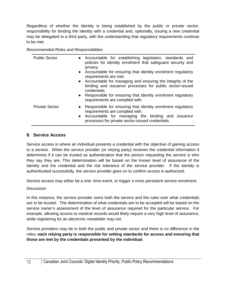Regardless of whether the identity is being established by the public or private sector, responsibility for binding the identity with a credential and, optionally, issuing a new credential may be delegated to a third party, with the understanding that regulatory requirements continue to be met.

*Recommended Roles and Responsibilities*

| <b>Public Sector</b><br>$\bullet$  | • Accountable for establishing legislation, standards and<br>policies for identity enrolment that safeguard security and<br>privacy.<br>Accountable for ensuring that identity enrolment regulatory<br>requirements are met.<br>• Accountable for managing and ensuring the integrity of the<br>binding and issuance processes for public sector-issued<br>credentials.<br>• Responsible for ensuring that identity enrolment regulatory<br>requirements are complied with. |
|------------------------------------|-----------------------------------------------------------------------------------------------------------------------------------------------------------------------------------------------------------------------------------------------------------------------------------------------------------------------------------------------------------------------------------------------------------------------------------------------------------------------------|
| <b>Private Sector</b><br>$\bullet$ | Responsible for ensuring that identity enrolment regulatory<br>requirements are complied with.<br>• Accountable for managing the binding and issuance<br>processes for private sector-issued credentials.                                                                                                                                                                                                                                                                   |

### <span id="page-12-0"></span>**9. Service Access**

Service access is where an individual presents a credential with the objective of gaining access to a service. When the service provider (or relying party) receives the credential information it determines if it can be trusted as authentication that the person requesting the service is who they say they are. This determination will be based on the known level of assurance of the identity and the credential and the risk tolerance of the service provider. If the identity is authenticated successfully, the service provider goes on to confirm access is authorized.

Service access may either be a one- time event, or trigger a more persistent service enrolment.

#### *Discussion*

In this instance, the service provider owns both the service and the rules over what credentials are to be trusted. The determination of what credentials are to be accepted will be based on the service owner's assessment of the level of assurance required for the particular service. For example, allowing access to medical records would likely require a very high level of assurance, while registering for an electronic newsletter may not.

Service providers may be in both the public and private sector and there is no difference in the roles; **each relying party is responsible for setting standards for access and ensuring that those are met by the credentials presented by the individual**.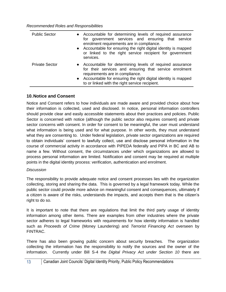*Recommended Roles and Responsibilities*

| <b>Public Sector</b>  | • Accountable for determining levels of required assurance<br>for government services and ensuring that service<br>enrolment requirements are in compliance.<br>• Accountable for ensuring the right digital identity is mapped<br>or linked to the right service recipient for government<br>services. |
|-----------------------|---------------------------------------------------------------------------------------------------------------------------------------------------------------------------------------------------------------------------------------------------------------------------------------------------------|
| <b>Private Sector</b> | • Accountable for determining levels of required assurance<br>for their services and ensuring that service enrolment<br>requirements are in compliance.<br>• Accountable for ensuring the right digital identity is mapped<br>to or linked with the right service recipient.                            |

### <span id="page-13-0"></span>**10.Notice and Consent**

Notice and Consent refers to how individuals are made aware and provided choice about how their information is collected, used and disclosed. In notice, personal information controllers should provide clear and easily accessible statements about their practices and policies. Public Sector is concerned with notice (although the public sector also requires consent) and private sector concerns with consent. In order for consent to be meaningful, the user must understand what information is being used and for what purpose. In other words, they must understand what they are consenting to. Under federal legislation, private sector organizations are required to obtain individuals' consent to lawfully collect, use and disclose personal information in the course of commercial activity in accordance with PIPEDA federally and PIPA in BC and AB to name a few. Without consent, the circumstances under which organizations are allowed to process personal information are limited. Notification and consent may be required at multiple points in the digital identity process: verification, authentication and enrolment.

#### *Discussion*

The responsibility to provide adequate notice and consent processes lies with the organization collecting, storing and sharing the data. This is governed by a legal framework today. While the public sector could provide more advice on meaningful consent and consequences, ultimately if a citizen is aware of the risks, understands the impacts, and accepts them that is the citizen's right to do so.

It is important to note that there are regulations that limit the third party usage of identity information among other items. There are examples from other industries where the private sector adheres to legal frameworks with requirements for how identity information is handled such as *Proceeds of Crime* (Money Laundering) and *Terrorist Financing Act* overseen by FINTRAC.

There has also been growing public concern about security breaches. The organization collecting the information has the responsibility to notify the sources and the owner of the information. Currently under Bill S-4 the *Digital Privacy Act under Section 10* there are

### 13 Canadian Joint Councils' Digital Identity Priority, Public Policy Recommendations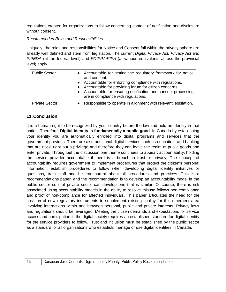regulations created for organizations to follow concerning content of notification and disclosure without consent.

### *Recommended Roles and Responsibilities*

Uniquely, the roles and responsibilities for Notice and Consent fall within the privacy sphere are already well defined and stem from legislation. The current *Digital Privacy Act, Privacy Act and PIPEDA* (at the federal level) and *FOIPPA/PIPA* (at various equivalents across the provincial level) apply.

| <b>Public Sector</b>  | $\bullet$<br>$\bullet$ | Accountable for setting the regulatory framework for notice<br>and consent.<br>Accountable for enforcing compliance with regulations.<br>Accountable for providing forum for citizen concerns.<br>Accountable for ensuring notification and consent processing<br>are in compliance with regulations. |
|-----------------------|------------------------|-------------------------------------------------------------------------------------------------------------------------------------------------------------------------------------------------------------------------------------------------------------------------------------------------------|
| <b>Private Sector</b> |                        | Responsible to operate in alignment with relevant legislation.                                                                                                                                                                                                                                        |

### <span id="page-14-0"></span>**11.Conclusion**

It is a human right to be recognized by your country before the law and hold an identity in that nation. Therefore, **Digital Identity is fundamentally a public good**. In Canada by establishing your identity you are automatically enrolled into digital programs and services that the government provides. There are also additional digital services such as education, and banking that are not a right but a privilege and therefore they can leave the realm of public goods and enter private. Throughout the discussion one theme continues to appear; accountability, holding the service provider accountable if there is a breach in trust or privacy. The concept of accountability requires government to implement procedures that protect the citizen's personal information, establish procedures to follow when developing digital identity initiatives or questions, train staff and be transparent about all procedures and practices. This is a recommendations paper, and the recommendation is to develop an accountability model in the public sector so that private sector can develop one that is similar. Of course, there is risk associated using accountability models in the ability to resolve misuse follows non-compliance and proof of non-compliance for affected individuals. This paper articulates the need for the creation of new regulatory instruments to supplement existing policy for this emergent area involving interactions within and between personal, public and private interests. Privacy laws and regulations should be leveraged. Meeting the citizen demands and expectations for service access and participation in the digital society requires an established standard for digital identity for the service providers to follow. Trust and inclusion must be established by the public sector as a standard for all organizations who establish, manage or use digital identities in Canada.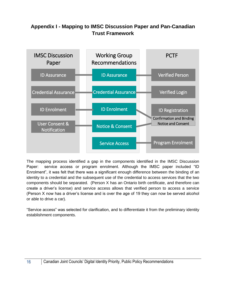# **Appendix I - Mapping to IMSC Discussion Paper and Pan-Canadian Trust Framework**



The mapping process identified a gap in the components identified in the IMSC Discussion Paper: service access or program enrolment. Although the IMSC paper included "ID Enrolment", it was felt that there was a significant enough difference between the binding of an identity to a credential and the subsequent use of the credential to access services that the two components should be separated. (Person X has an Ontario birth certificate, and therefore can create a driver's license) and service access allows that verified person to access a service (Person X now has a driver's license and is over the age of 19 they can now be served alcohol or able to drive a car).

"Service access" was selected for clarification, and to differentiate it from the preliminary identity establishment components.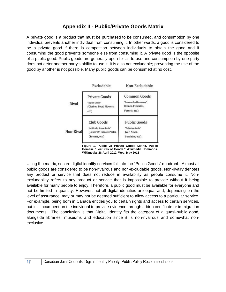# **Appendix II - Public/Private Goods Matrix**

<span id="page-17-0"></span>A private good is a product that must be purchased to be consumed, and consumption by one individual prevents another individual from consuming it. In other words, a good is considered to be a private good if there is competition between individuals to obtain the good and if consuming the good prevents someone else from consuming it. A private good is the opposite of a public good. Public goods are generally open for all to use and consumption by one party does not deter another party's ability to use it. It is also not excludable; preventing the use of the good by another is not possible. Many public goods can be consumed at no cost.



**Figure 1. Public vs Private Goods Matrix. Public Domain. "Features of Goods." Wikimedia Commons. Wikimedia. 28 April 2012. Web. May 2018**

Using the matrix, secure digital identity services fall into the "Public Goods" quadrant. Almost all public goods are considered to be non-rivalrous and non-excludable goods. Non-rivalry denotes any product or service that does not reduce in availability as people consume it. Nonexcludability refers to any product or service that is impossible to provide without it being available for many people to enjoy. Therefore, a public good must be available for everyone and not be limited in quantity. However, not all digital identities are equal and, depending on the level of assurance, may or may not be deemed sufficient to allow access to a particular service. For example, being born in Canada entitles you to certain rights and access to certain services, but it is incumbent on the individual to provide evidence through a birth certificate or immigration documents. The conclusion is that Digital Identity fits the category of a quasi-public good, alongside libraries, museums and education since it is non-rivalrous and somewhat nonexclusive.